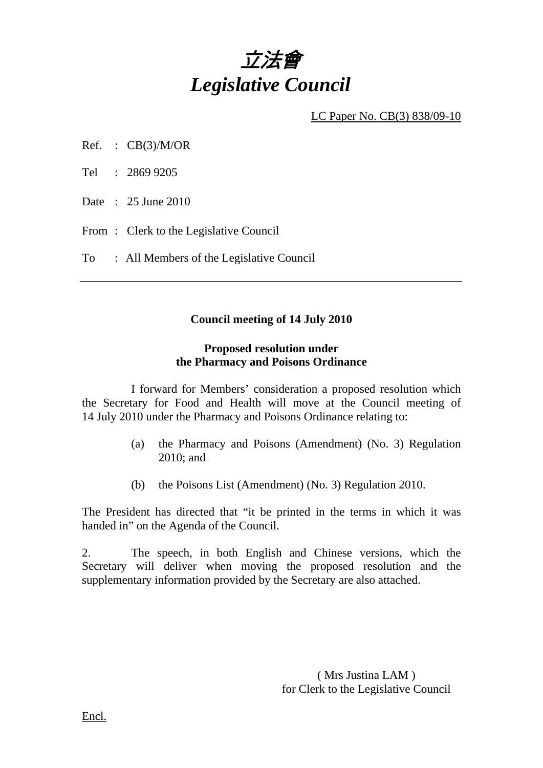

LC Paper No. CB(3) 838/09-10

- Ref. :  $CB(3)/M/OR$
- Tel : 2869 9205
- Date : 25 June 2010
- From: Clerk to the Legislative Council
- To : All Members of the Legislative Council

#### **Council meeting of 14 July 2010**

#### **Proposed resolution under the Pharmacy and Poisons Ordinance**

 I forward for Members' consideration a proposed resolution which the Secretary for Food and Health will move at the Council meeting of 14 July 2010 under the Pharmacy and Poisons Ordinance relating to:

- (a) the Pharmacy and Poisons (Amendment) (No. 3) Regulation 2010; and
- (b) the Poisons List (Amendment) (No. 3) Regulation 2010.

The President has directed that "it be printed in the terms in which it was handed in" on the Agenda of the Council.

2. The speech, in both English and Chinese versions, which the Secretary will deliver when moving the proposed resolution and the supplementary information provided by the Secretary are also attached.

> ( Mrs Justina LAM ) for Clerk to the Legislative Council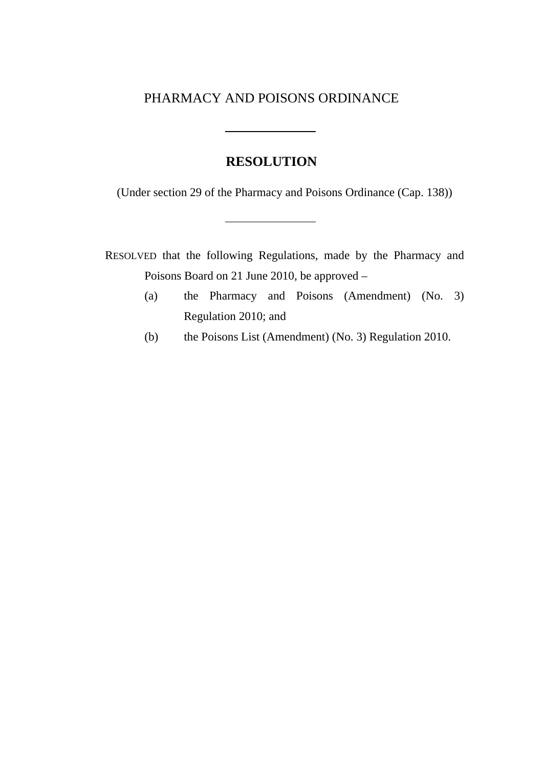## PHARMACY AND POISONS ORDINANCE

## **RESOLUTION**

(Under section 29 of the Pharmacy and Poisons Ordinance (Cap. 138))

RESOLVED that the following Regulations, made by the Pharmacy and Poisons Board on 21 June 2010, be approved –

- (a) the Pharmacy and Poisons (Amendment) (No. 3) Regulation 2010; and
- (b) the Poisons List (Amendment) (No. 3) Regulation 2010.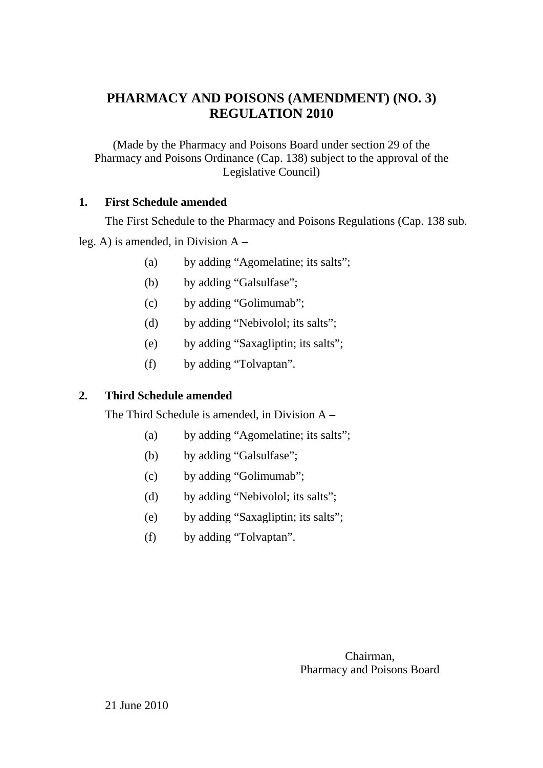## **PHARMACY AND POISONS (AMENDMENT) (NO. 3) REGULATION 2010**

(Made by the Pharmacy and Poisons Board under section 29 of the Pharmacy and Poisons Ordinance (Cap. 138) subject to the approval of the Legislative Council)

### **1. First Schedule amended**

The First Schedule to the Pharmacy and Poisons Regulations (Cap. 138 sub. leg. A) is amended, in Division A –

- (a) by adding "Agomelatine; its salts";
- (b) by adding "Galsulfase";
- (c) by adding "Golimumab";
- (d) by adding "Nebivolol; its salts";
- (e) by adding "Saxagliptin; its salts";
- (f) by adding "Tolvaptan".

### **2. Third Schedule amended**

The Third Schedule is amended, in Division A –

- (a) by adding "Agomelatine; its salts";
- (b) by adding "Galsulfase";
- (c) by adding "Golimumab";
- (d) by adding "Nebivolol; its salts";
- (e) by adding "Saxagliptin; its salts";
- (f) by adding "Tolvaptan".

Chairman, Pharmacy and Poisons Board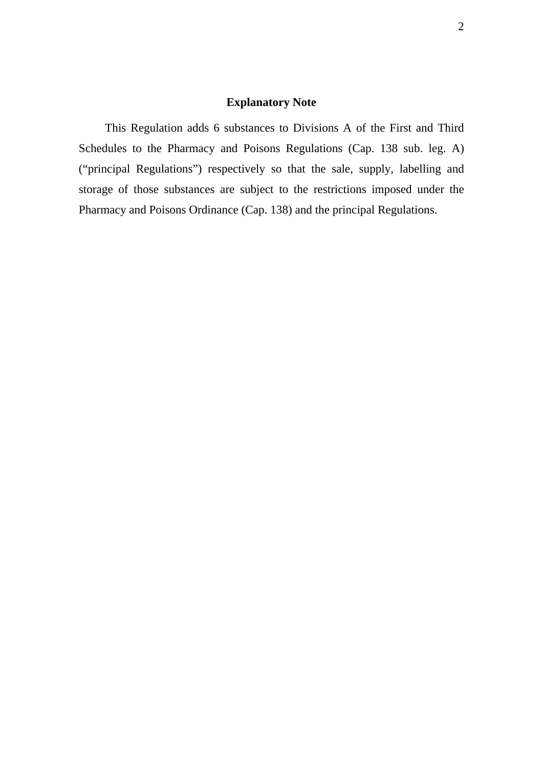### **Explanatory Note**

This Regulation adds 6 substances to Divisions A of the First and Third Schedules to the Pharmacy and Poisons Regulations (Cap. 138 sub. leg. A) ("principal Regulations") respectively so that the sale, supply, labelling and storage of those substances are subject to the restrictions imposed under the Pharmacy and Poisons Ordinance (Cap. 138) and the principal Regulations.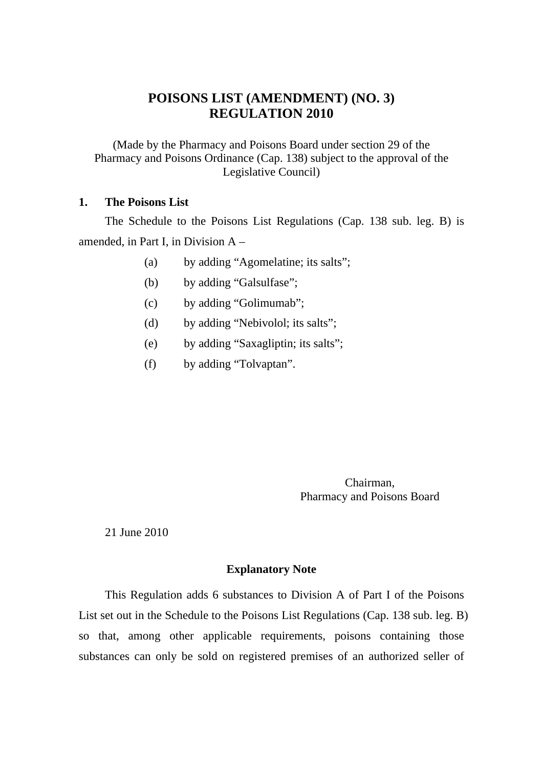## **POISONS LIST (AMENDMENT) (NO. 3) REGULATION 2010**

(Made by the Pharmacy and Poisons Board under section 29 of the Pharmacy and Poisons Ordinance (Cap. 138) subject to the approval of the Legislative Council)

#### **1. The Poisons List**

The Schedule to the Poisons List Regulations (Cap. 138 sub. leg. B) is amended, in Part I, in Division A –

- (a) by adding "Agomelatine; its salts";
- (b) by adding "Galsulfase";
- (c) by adding "Golimumab";
- (d) by adding "Nebivolol; its salts";
- (e) by adding "Saxagliptin; its salts";
- (f) by adding "Tolvaptan".

Chairman, Pharmacy and Poisons Board

21 June 2010

#### **Explanatory Note**

This Regulation adds 6 substances to Division A of Part I of the Poisons List set out in the Schedule to the Poisons List Regulations (Cap. 138 sub. leg. B) so that, among other applicable requirements, poisons containing those substances can only be sold on registered premises of an authorized seller of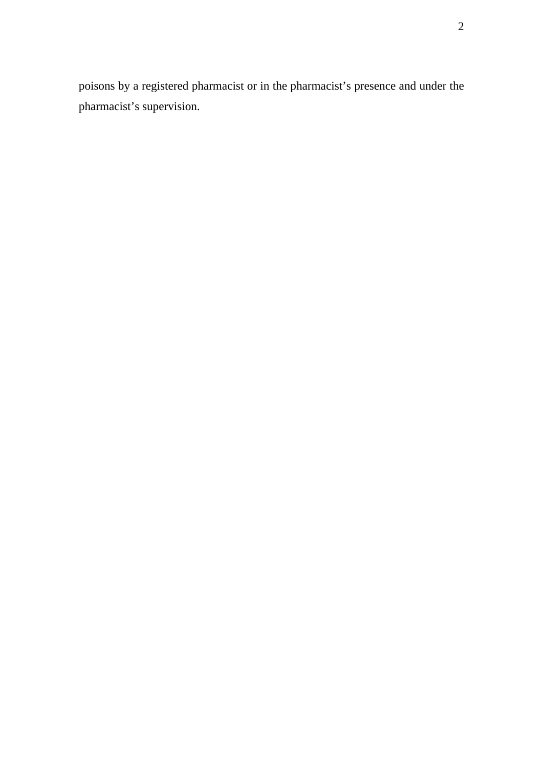poisons by a registered pharmacist or in the pharmacist's presence and under the pharmacist's supervision.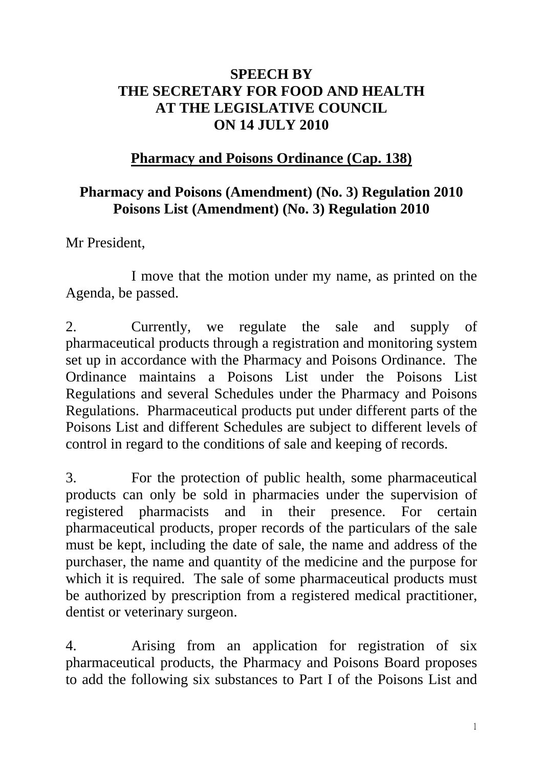# **SPEECH BY THE SECRETARY FOR FOOD AND HEALTH AT THE LEGISLATIVE COUNCIL ON 14 JULY 2010**

# **Pharmacy and Poisons Ordinance (Cap. 138)**

# **Pharmacy and Poisons (Amendment) (No. 3) Regulation 2010 Poisons List (Amendment) (No. 3) Regulation 2010**

Mr President,

1 I move that the motion under my name, as printed on the Agenda, be passed.

2. Currently, we regulate the sale and supply of pharmaceutical products through a registration and monitoring system set up in accordance with the Pharmacy and Poisons Ordinance. The Ordinance maintains a Poisons List under the Poisons List Regulations and several Schedules under the Pharmacy and Poisons Regulations. Pharmaceutical products put under different parts of the Poisons List and different Schedules are subject to different levels of control in regard to the conditions of sale and keeping of records.

3. For the protection of public health, some pharmaceutical products can only be sold in pharmacies under the supervision of registered pharmacists and in their presence. For certain pharmaceutical products, proper records of the particulars of the sale must be kept, including the date of sale, the name and address of the purchaser, the name and quantity of the medicine and the purpose for which it is required. The sale of some pharmaceutical products must be authorized by prescription from a registered medical practitioner, dentist or veterinary surgeon.

4. Arising from an application for registration of six pharmaceutical products, the Pharmacy and Poisons Board proposes to add the following six substances to Part I of the Poisons List and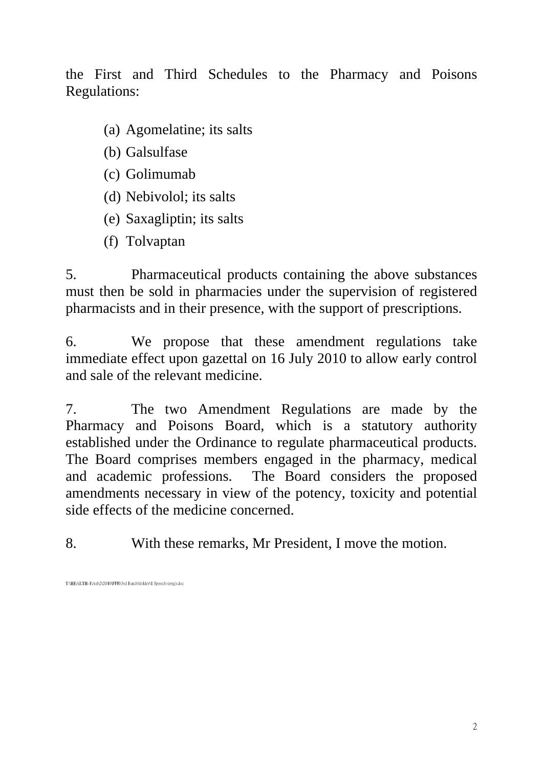the First and Third Schedules to the Pharmacy and Poisons Regulations:

- (a) Agomelatine; its salts
- (b) Galsulfase
- (c) Golimumab
- (d) Nebivolol; its salts
- (e) Saxagliptin; its salts
- (f) Tolvaptan

5. Pharmaceutical products containing the above substances must then be sold in pharmacies under the supervision of registered pharmacists and in their presence, with the support of prescriptions.

6. We propose that these amendment regulations take immediate effect upon gazettal on 16 July 2010 to allow early control and sale of the relevant medicine.

7. The two Amendment Regulations are made by the Pharmacy and Poisons Board, which is a statutory authority established under the Ordinance to regulate pharmaceutical products. The Board comprises members engaged in the pharmacy, medical and academic professions. The Board considers the proposed amendments necessary in view of the potency, toxicity and potential side effects of the medicine concerned.

8. With these remarks, Mr President, I move the motion.

T:\HEALTH-1\Ash2\2010\PPR\3rd Batch\folder\1 Speech (eng).doc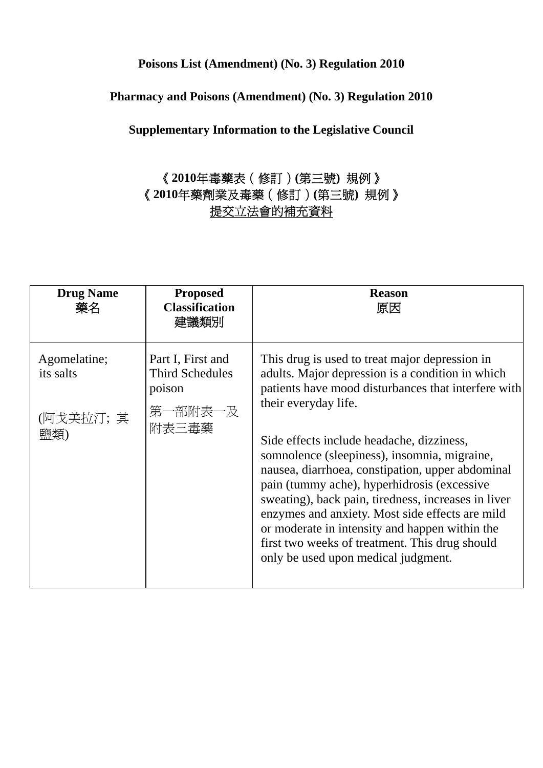## **Poisons List (Amendment) (No. 3) Regulation 2010**

### **Pharmacy and Poisons (Amendment) (No. 3) Regulation 2010**

**Supplementary Information to the Legislative Council** 

# 《**2010**年毒藥表(修訂)**(**第三號**)** 規例》 《**2010**年藥劑業及毒藥(修訂)**(**第三號**)** 規例》 提交立法會的補充資料

| <b>Drug Name</b><br>藥名                | <b>Proposed</b><br><b>Classification</b><br>建議類別                 | <b>Reason</b><br>原因                                                                                                                                                                                                                                                                                                                                                                                                                               |
|---------------------------------------|------------------------------------------------------------------|---------------------------------------------------------------------------------------------------------------------------------------------------------------------------------------------------------------------------------------------------------------------------------------------------------------------------------------------------------------------------------------------------------------------------------------------------|
| Agomelatine;<br>its salts<br>(阿戈美拉汀;其 | Part I, First and<br><b>Third Schedules</b><br>poison<br>第一部附表一及 | This drug is used to treat major depression in<br>adults. Major depression is a condition in which<br>patients have mood disturbances that interfere with<br>their everyday life.                                                                                                                                                                                                                                                                 |
|                                       | 附表三毒藥                                                            | Side effects include headache, dizziness,<br>somnolence (sleepiness), insomnia, migraine,<br>nausea, diarrhoea, constipation, upper abdominal<br>pain (tummy ache), hyperhidrosis (excessive<br>sweating), back pain, tiredness, increases in liver<br>enzymes and anxiety. Most side effects are mild<br>or moderate in intensity and happen within the<br>first two weeks of treatment. This drug should<br>only be used upon medical judgment. |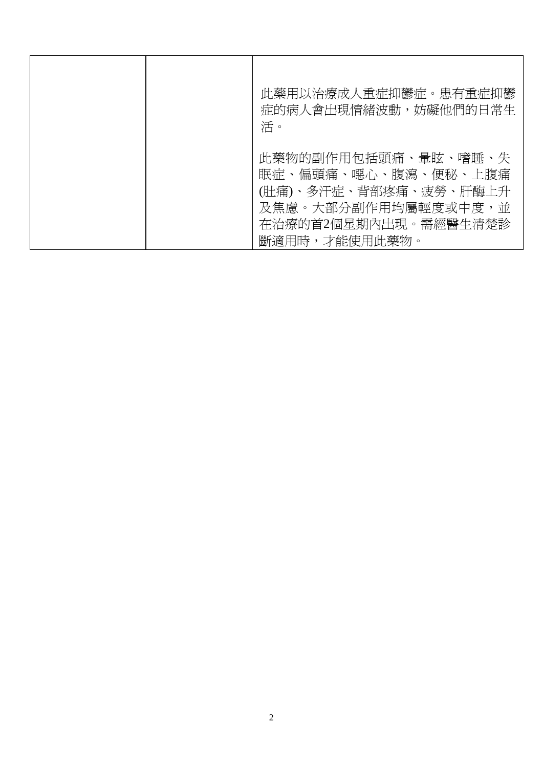| 此藥用以治療成人重症抑鬱症。患有重症抑鬱<br>症的病人會出現情緒波動,妨礙他們的日常生<br>活。                                                                                  |
|-------------------------------------------------------------------------------------------------------------------------------------|
| 此藥物的副作用包括頭痛、暈眩、嗜睡、失<br>眠症、偏頭痛、噁心、腹瀉、便秘、上腹痛<br>(肚痛)、多汗症、背部疼痛、疲勞、肝酶上升<br>及焦慮。大部分副作用均屬輕度或中度,並<br>在治療的首2個星期內出現。需經醫生清楚診<br>斷適用時,才能使用此藥物。 |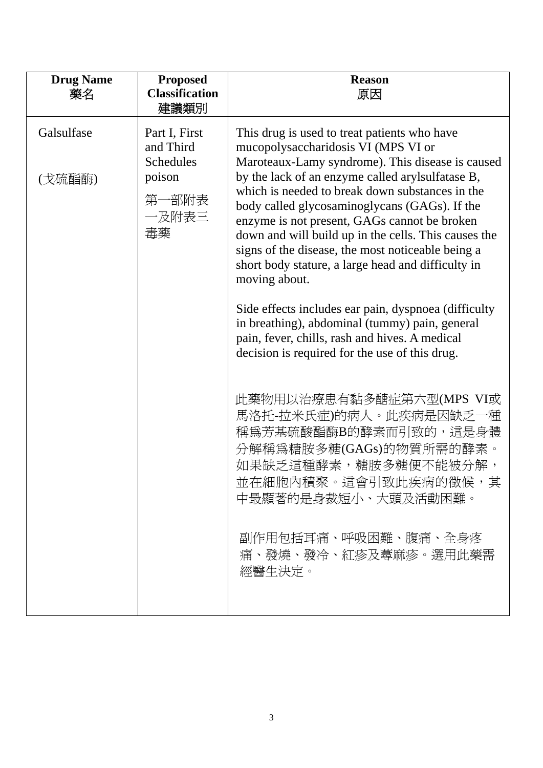| <b>Drug Name</b><br>藥名 | <b>Proposed</b><br><b>Classification</b><br>建議類別                                 | <b>Reason</b><br>原因                                                                                                                                                                                                                                                                                                                                                                                                                                                                                                                                                                                                                                                                                                                                                                                                                                                                                                                                                                         |
|------------------------|----------------------------------------------------------------------------------|---------------------------------------------------------------------------------------------------------------------------------------------------------------------------------------------------------------------------------------------------------------------------------------------------------------------------------------------------------------------------------------------------------------------------------------------------------------------------------------------------------------------------------------------------------------------------------------------------------------------------------------------------------------------------------------------------------------------------------------------------------------------------------------------------------------------------------------------------------------------------------------------------------------------------------------------------------------------------------------------|
| Galsulfase<br>(戈硫酯酶)   | Part I, First<br>and Third<br><b>Schedules</b><br>poison<br>第一部附表<br>一及附表三<br>毒藥 | This drug is used to treat patients who have<br>mucopolysaccharidosis VI (MPS VI or<br>Maroteaux-Lamy syndrome). This disease is caused<br>by the lack of an enzyme called arylsulfatase B,<br>which is needed to break down substances in the<br>body called glycosaminoglycans (GAGs). If the<br>enzyme is not present, GAGs cannot be broken<br>down and will build up in the cells. This causes the<br>signs of the disease, the most noticeable being a<br>short body stature, a large head and difficulty in<br>moving about.<br>Side effects includes ear pain, dyspnoea (difficulty<br>in breathing), abdominal (tummy) pain, general<br>pain, fever, chills, rash and hives. A medical<br>decision is required for the use of this drug.<br>此藥物用以治療患有黏多醣症第六型(MPS VI或<br>馬洛托-拉米氏症)的病人。此疾病是因缺乏一種<br>稱爲芳基硫酸酯酶B的酵素而引致的,這是身體<br>分解稱爲糖胺多糖(GAGs)的物質所需的酵素。<br>如果缺乏這種酵素,糖胺多糖便不能被分解,<br>並在細胞內積聚。這會引致此疾病的徵候,其<br>中最顯著的是身裁短小、大頭及活動困難。<br>副作用包括耳痛、呼吸困難、腹痛、全身疼<br>痛、發燒、發冷、紅疹及蕁麻疹。選用此藥需<br>經醫生決定。 |
|                        |                                                                                  |                                                                                                                                                                                                                                                                                                                                                                                                                                                                                                                                                                                                                                                                                                                                                                                                                                                                                                                                                                                             |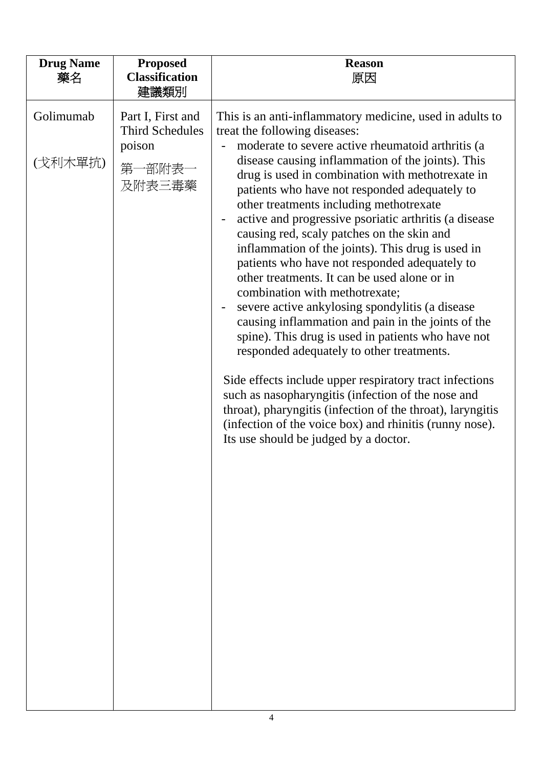| <b>Drug Name</b><br>藥名 | <b>Proposed</b><br><b>Classification</b><br>建議類別                          | <b>Reason</b><br>原因                                                                                                                                                                                                                                                                                                                                                                                                                                                                                                                                                                                                                                                                                                                                                                                                                                                                                                                                                                                                                                                                                                                               |
|------------------------|---------------------------------------------------------------------------|---------------------------------------------------------------------------------------------------------------------------------------------------------------------------------------------------------------------------------------------------------------------------------------------------------------------------------------------------------------------------------------------------------------------------------------------------------------------------------------------------------------------------------------------------------------------------------------------------------------------------------------------------------------------------------------------------------------------------------------------------------------------------------------------------------------------------------------------------------------------------------------------------------------------------------------------------------------------------------------------------------------------------------------------------------------------------------------------------------------------------------------------------|
| Golimumab<br>(戈利木單抗)   | Part I, First and<br><b>Third Schedules</b><br>poison<br>第一部附表一<br>及附表三毒藥 | This is an anti-inflammatory medicine, used in adults to<br>treat the following diseases:<br>moderate to severe active rheumatoid arthritis (a<br>disease causing inflammation of the joints). This<br>drug is used in combination with methotrexate in<br>patients who have not responded adequately to<br>other treatments including methotrexate<br>active and progressive psoriatic arthritis (a disease<br>causing red, scaly patches on the skin and<br>inflammation of the joints). This drug is used in<br>patients who have not responded adequately to<br>other treatments. It can be used alone or in<br>combination with methotrexate;<br>severe active ankylosing spondylitis (a disease<br>causing inflammation and pain in the joints of the<br>spine). This drug is used in patients who have not<br>responded adequately to other treatments.<br>Side effects include upper respiratory tract infections<br>such as nasopharyngitis (infection of the nose and<br>throat), pharyngitis (infection of the throat), laryngitis<br>(infection of the voice box) and rhinitis (runny nose).<br>Its use should be judged by a doctor. |
|                        |                                                                           |                                                                                                                                                                                                                                                                                                                                                                                                                                                                                                                                                                                                                                                                                                                                                                                                                                                                                                                                                                                                                                                                                                                                                   |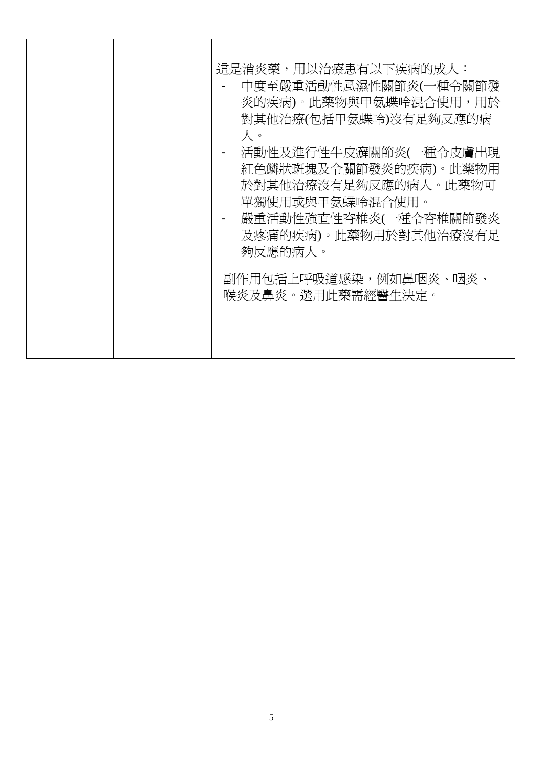|  |  | 這是消炎藥,用以治療患有以下疾病的成人:<br>中度至嚴重活動性風濕性關節炎(一種令關節發<br>炎的疾病)。此藥物與甲氨蝶呤混合使用,用於<br>對其他治療(包括甲氨蝶呤)沒有足夠反應的病<br>人。<br>活動性及進行性牛皮癬關節炎(一種令皮膚出現<br>紅色鱗狀斑塊及令關節發炎的疾病)。此藥物用<br>於對其他治療沒有足夠反應的病人。此藥物可<br>單獨使用或與甲氨蝶呤混合使用。<br>嚴重活動性強直性脊椎炎(一種令脊椎關節發炎<br>及疼痛的疾病)。此藥物用於對其他治療沒有足<br>夠反應的病人。<br>副作用包括上呼吸道感染,例如鼻咽炎、咽炎、<br>喉炎及鼻炎。選用此藥需經醫生決定。 |
|--|--|---------------------------------------------------------------------------------------------------------------------------------------------------------------------------------------------------------------------------------------------------------------------------------------------------------------|
|--|--|---------------------------------------------------------------------------------------------------------------------------------------------------------------------------------------------------------------------------------------------------------------------------------------------------------------|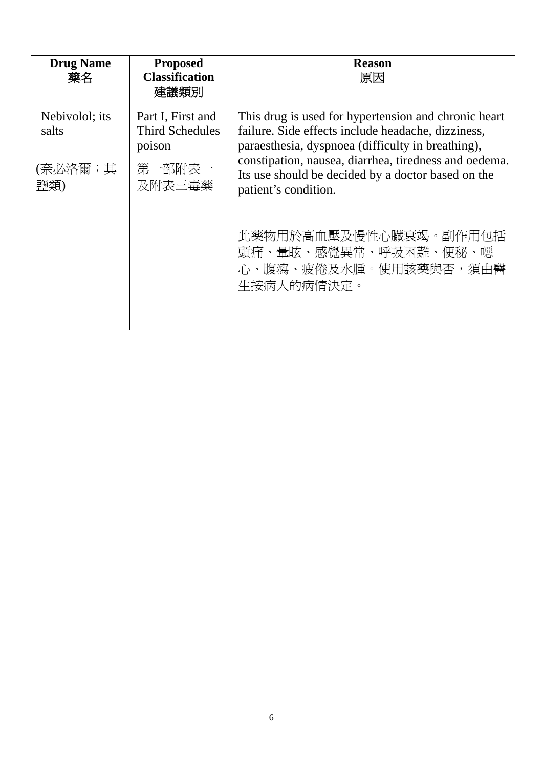| <b>Drug Name</b><br>藥名             | <b>Proposed</b><br><b>Classification</b><br>建議類別                          | <b>Reason</b><br>原因                                                                                                                                                                                                                                                                                    |
|------------------------------------|---------------------------------------------------------------------------|--------------------------------------------------------------------------------------------------------------------------------------------------------------------------------------------------------------------------------------------------------------------------------------------------------|
| Nebivolol; its<br>salts<br>(奈必洛爾;其 | Part I, First and<br><b>Third Schedules</b><br>poison<br>第一部附表一<br>及附表三毒藥 | This drug is used for hypertension and chronic heart<br>failure. Side effects include headache, dizziness,<br>paraesthesia, dyspnoea (difficulty in breathing),<br>constipation, nausea, diarrhea, tiredness and oedema.<br>Its use should be decided by a doctor based on the<br>patient's condition. |
|                                    |                                                                           | 此藥物用於高血壓及慢性心臟衰竭。副作用包括<br>頭痛、暈眩、感覺異常、呼吸困難、便秘、噁<br>心、腹瀉、疲倦及水腫。使用該藥與否,須由醫<br>生按病人的病情決定。                                                                                                                                                                                                                   |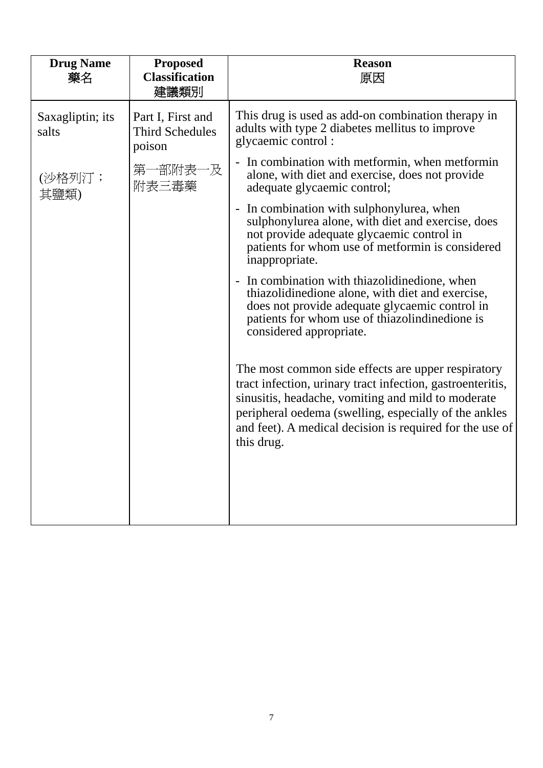| <b>Proposed</b><br><b>Classification</b><br>建議類別      | <b>Reason</b><br>原因                                                                                                                                                                                                                                                                                       |
|-------------------------------------------------------|-----------------------------------------------------------------------------------------------------------------------------------------------------------------------------------------------------------------------------------------------------------------------------------------------------------|
| Part I, First and<br><b>Third Schedules</b><br>poison | This drug is used as add-on combination therapy in<br>adults with type 2 diabetes mellitus to improve<br>glycaemic control:                                                                                                                                                                               |
| 第一部附表一及<br>附表三毒藥                                      | In combination with metformin, when metformin<br>alone, with diet and exercise, does not provide<br>adequate glycaemic control;                                                                                                                                                                           |
|                                                       | In combination with sulphonylurea, when<br>sulphonylurea alone, with diet and exercise, does<br>not provide adequate glycaemic control in<br>patients for whom use of metformin is considered<br>inappropriate.                                                                                           |
|                                                       | - In combination with thiazolidinedione, when<br>thiazolidinedione alone, with diet and exercise,<br>does not provide adequate glycaemic control in<br>patients for whom use of thiazolindinedione is<br>considered appropriate.                                                                          |
|                                                       | The most common side effects are upper respiratory<br>tract infection, urinary tract infection, gastroenteritis,<br>sinusitis, headache, vomiting and mild to moderate<br>peripheral oedema (swelling, especially of the ankles<br>and feet). A medical decision is required for the use of<br>this drug. |
|                                                       |                                                                                                                                                                                                                                                                                                           |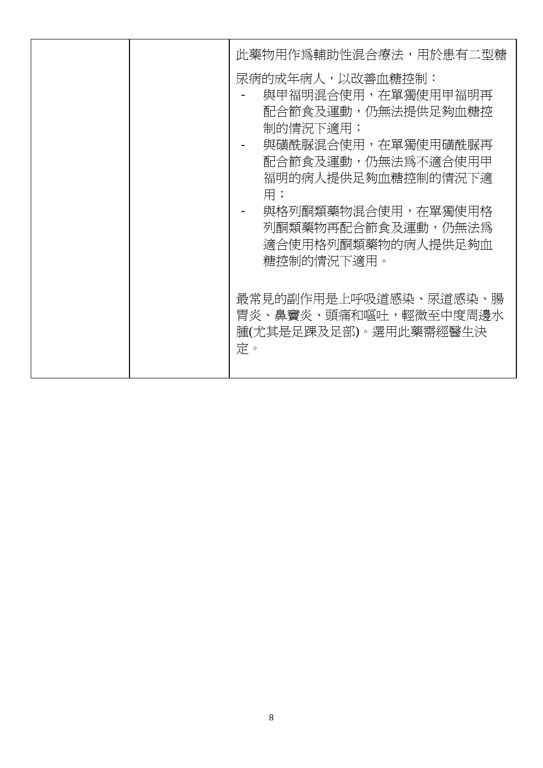| 此藥物用作爲輔助性混合療法,用於患有二型糖<br>尿病的成年病人,以改善血糖控制:<br>與甲福明混合使用,在單獨使用甲福明再<br>配合節食及運動,仍無法提供足夠血糖控<br>制的情況下適用;<br>與磺酰脲混合使用,在單獨使用磺酰脲再<br>配合節食及運動,仍無法爲不適合使用甲<br>福明的病人提供足夠血糖控制的情況下適<br>用;<br>與格列酮類藥物混合使用,在單獨使用格<br>列酮類藥物再配合節食及運動,仍無法爲<br>適合使用格列酮類藥物的病人提供足夠血<br>糖控制的情況下適用。 |
|-----------------------------------------------------------------------------------------------------------------------------------------------------------------------------------------------------------------------------------------------------------|
| 最常見的副作用是上呼吸道感染、尿道感染、腸<br>胃炎、鼻竇炎、頭痛和嘔吐,輕微至中度周邊水<br>腫(尤其是足踝及足部)。選用此藥需經醫生決<br>定。                                                                                                                                                                             |